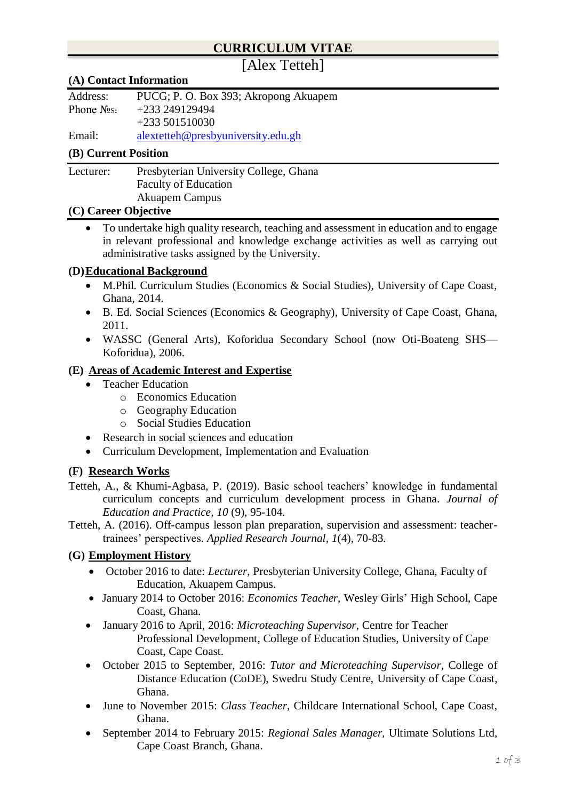## **CURRICULUM VITAE**

# [Alex Tetteh]

#### **(A) Contact Information**

| Address:      | PUCG; P. O. Box 393; Akropong Akuapem |
|---------------|---------------------------------------|
| Phone $N2s$ : | +233 249129494                        |
|               | $+233\,501510030$                     |

Email: [alextetteh@presbyuniversity.edu.gh](mailto:alextetteh@presbyuniversity.edu.gh)

#### **(B) Current Position**

Lecturer: Presbyterian University College, Ghana Faculty of Education

Akuapem Campus

#### **(C) Career Objective**

• To undertake high quality research, teaching and assessment in education and to engage in relevant professional and knowledge exchange activities as well as carrying out administrative tasks assigned by the University.

#### **(D)Educational Background**

- M.Phil. Curriculum Studies (Economics & Social Studies), University of Cape Coast, Ghana, 2014.
- B. Ed. Social Sciences (Economics & Geography), University of Cape Coast, Ghana, 2011.
- WASSC (General Arts), Koforidua Secondary School (now Oti-Boateng SHS— Koforidua), 2006.

#### **(E) Areas of Academic Interest and Expertise**

- Teacher Education
	- o Economics Education
	- o Geography Education
	- o Social Studies Education
- Research in social sciences and education
- Curriculum Development, Implementation and Evaluation

#### **(F) Research Works**

- Tetteh, A., & Khumi-Agbasa, P. (2019). Basic school teachers' knowledge in fundamental curriculum concepts and curriculum development process in Ghana. *Journal of Education and Practice, 10* (9), 95-104*.*
- Tetteh, A. (2016). Off-campus lesson plan preparation, supervision and assessment: teachertrainees' perspectives. *Applied Research Journal, 1*(4), 70-83.

#### **(G) Employment History**

- October 2016 to date: *Lecturer*, Presbyterian University College, Ghana, Faculty of Education, Akuapem Campus.
- January 2014 to October 2016: *Economics Teacher*, Wesley Girls' High School, Cape Coast, Ghana.
- January 2016 to April, 2016: *Microteaching Supervisor*, Centre for Teacher Professional Development, College of Education Studies, University of Cape Coast, Cape Coast.
- October 2015 to September, 2016: *Tutor and Microteaching Supervisor*, College of Distance Education (CoDE), Swedru Study Centre, University of Cape Coast, Ghana.
- June to November 2015: *Class Teacher*, Childcare International School, Cape Coast, Ghana.
- September 2014 to February 2015: *Regional Sales Manager,* Ultimate Solutions Ltd, Cape Coast Branch, Ghana.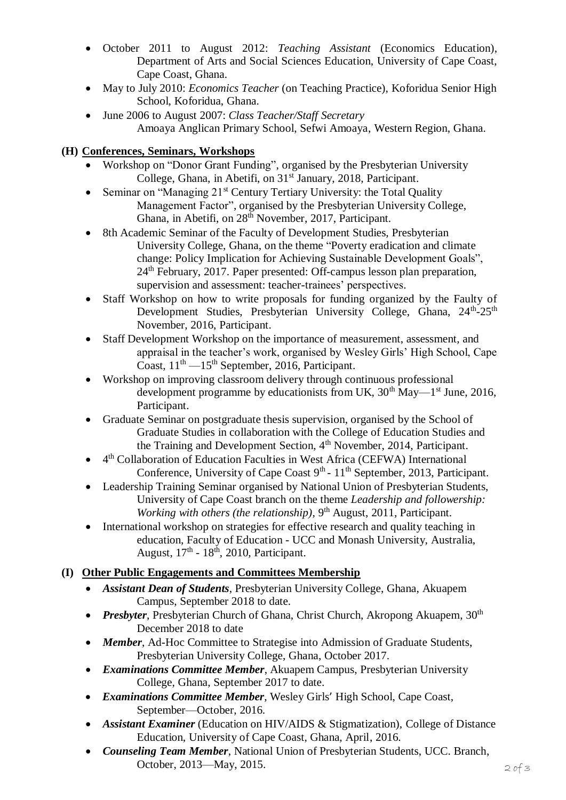- October 2011 to August 2012: *Teaching Assistant* (Economics Education), Department of Arts and Social Sciences Education, University of Cape Coast, Cape Coast, Ghana.
- May to July 2010: *Economics Teacher* (on Teaching Practice), Koforidua Senior High School, Koforidua, Ghana.
- June 2006 to August 2007: *Class Teacher/Staff Secretary* Amoaya Anglican Primary School, Sefwi Amoaya, Western Region, Ghana.

### **(H) Conferences, Seminars, Workshops**

- Workshop on "Donor Grant Funding", organised by the Presbyterian University College, Ghana, in Abetifi, on 31<sup>st</sup> January, 2018, Participant.
- Seminar on "Managing  $21<sup>st</sup>$  Century Tertiary University: the Total Quality Management Factor", organised by the Presbyterian University College, Ghana, in Abetifi, on 28<sup>th</sup> November, 2017, Participant.
- 8th Academic Seminar of the Faculty of Development Studies, Presbyterian University College, Ghana, on the theme "Poverty eradication and climate change: Policy Implication for Achieving Sustainable Development Goals", 24<sup>th</sup> February, 2017. Paper presented: Off-campus lesson plan preparation, supervision and assessment: teacher-trainees' perspectives.
- Staff Workshop on how to write proposals for funding organized by the Faulty of Development Studies, Presbyterian University College, Ghana, 24<sup>th</sup>-25<sup>th</sup> November, 2016, Participant.
- Staff Development Workshop on the importance of measurement, assessment, and appraisal in the teacher's work, organised by Wesley Girls' High School, Cape Coast,  $11<sup>th</sup> - 15<sup>th</sup>$  September, 2016, Participant.
- Workshop on improving classroom delivery through continuous professional development programme by educationists from UK,  $30<sup>th</sup>$  May— $1<sup>st</sup>$  June, 2016, Participant.
- Graduate Seminar on postgraduate thesis supervision, organised by the School of Graduate Studies in collaboration with the College of Education Studies and the Training and Development Section, 4<sup>th</sup> November, 2014, Participant.
- 4<sup>th</sup> Collaboration of Education Faculties in West Africa (CEFWA) International Conference, University of Cape Coast 9<sup>th</sup> - 11<sup>th</sup> September, 2013, Participant.
- Leadership Training Seminar organised by National Union of Presbyterian Students, University of Cape Coast branch on the theme *Leadership and followership: Working with others (the relationship)*, 9<sup>th</sup> August, 2011, Participant.
- International workshop on strategies for effective research and quality teaching in education, Faculty of Education - UCC and Monash University, Australia, August,  $17<sup>th</sup>$  -  $18<sup>th</sup>$ , 2010, Participant.

## **(I) Other Public Engagements and Committees Membership**

- *Assistant Dean of Students*, Presbyterian University College, Ghana, Akuapem Campus, September 2018 to date.
- *Presbyter*, Presbyterian Church of Ghana, Christ Church, Akropong Akuapem, 30<sup>th</sup> December 2018 to date
- *Member*, Ad-Hoc Committee to Strategise into Admission of Graduate Students, Presbyterian University College, Ghana, October 2017.
- *Examinations Committee Member*, Akuapem Campus, Presbyterian University College, Ghana, September 2017 to date.
- *Examinations Committee Member*, Wesley Girls' High School, Cape Coast, September—October, 2016.
- *Assistant Examiner* (Education on HIV/AIDS & Stigmatization), College of Distance Education, University of Cape Coast, Ghana, April, 2016.
- *Counseling Team Member*, National Union of Presbyterian Students, UCC. Branch, October, 2013—May, 2015.  $2 \rho f$  3